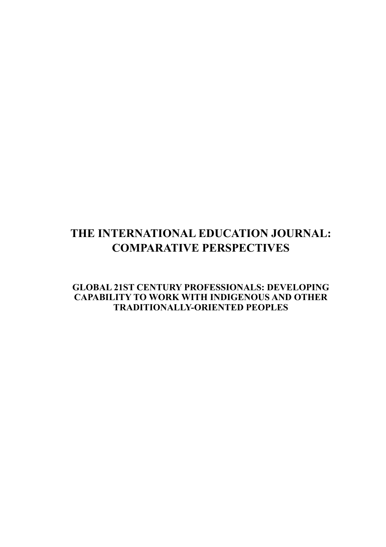# **THE INTERNATIONAL EDUCATION JOURNAL: COMPARATIVE PERSPECTIVES**

**Global 21st Century Professionals: Developing capability to work with Indigenous and other Traditionally-Oriented Peoples**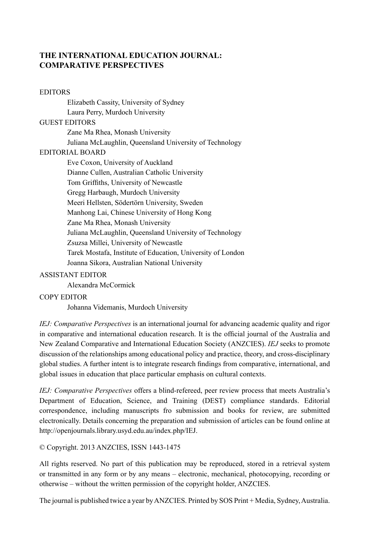## **THE INTERNATIONAL EDUCATION JOURNAL: COMPARATIVE PERSPECTIVES**

#### EDITORS

Elizabeth Cassity, University of Sydney Laura Perry, Murdoch University GUEST EDITORS Zane Ma Rhea, Monash University Juliana McLaughlin, Queensland University of Technology EDITORIAL BOARD Eve Coxon, University of Auckland Dianne Cullen, Australian Catholic University Tom Griffiths, University of Newcastle Gregg Harbaugh, Murdoch University Meeri Hellsten, Södertörn University, Sweden Manhong Lai, Chinese University of Hong Kong Zane Ma Rhea, Monash University Juliana McLaughlin, Queensland University of Technology Zsuzsa Millei, University of Newcastle Tarek Mostafa, Institute of Education, University of London Joanna Sikora, Australian National University

### Assistant Editor

Alexandra McCormick

#### COPY EDITOR

Johanna Videmanis, Murdoch University

*IEJ: Comparative Perspectives* is an international journal for advancing academic quality and rigor in comparative and international education research. It is the official journal of the Australia and New Zealand Comparative and International Education Society (ANZCIES). *IEJ* seeks to promote discussion of the relationships among educational policy and practice, theory, and cross-disciplinary global studies. A further intent is to integrate research findings from comparative, international, and global issues in education that place particular emphasis on cultural contexts.

*IEJ: Comparative Perspectives* offers a blind-refereed, peer review process that meets Australia's Department of Education, Science, and Training (DEST) compliance standards. Editorial correspondence, including manuscripts fro submission and books for review, are submitted electronically. Details concerning the preparation and submission of articles can be found online at http://openjournals.library.usyd.edu.au/index.php/IEJ.

© Copyright. 2013 ANZCIES, ISSN 1443-1475

All rights reserved. No part of this publication may be reproduced, stored in a retrieval system or transmitted in any form or by any means – electronic, mechanical, photocopying, recording or otherwise – without the written permission of the copyright holder, ANZCIES.

The journal is published twice a year by ANZCIES. Printed by SOS Print + Media, Sydney, Australia.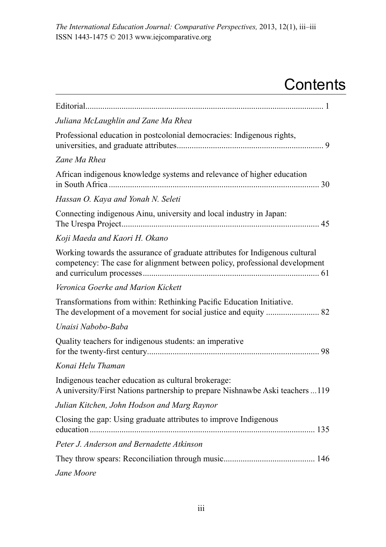# **Contents**

| Juliana McLaughlin and Zane Ma Rhea                                                                                                                         |
|-------------------------------------------------------------------------------------------------------------------------------------------------------------|
| Professional education in postcolonial democracies: Indigenous rights,                                                                                      |
| Zane Ma Rhea                                                                                                                                                |
| African indigenous knowledge systems and relevance of higher education                                                                                      |
| Hassan O. Kaya and Yonah N. Seleti                                                                                                                          |
| Connecting indigenous Ainu, university and local industry in Japan:                                                                                         |
| Koji Maeda and Kaori H. Okano                                                                                                                               |
| Working towards the assurance of graduate attributes for Indigenous cultural<br>competency: The case for alignment between policy, professional development |
| Veronica Goerke and Marion Kickett                                                                                                                          |
| Transformations from within: Rethinking Pacific Education Initiative.                                                                                       |
| Unaisi Nabobo-Baba                                                                                                                                          |
| Quality teachers for indigenous students: an imperative                                                                                                     |
| Konai Helu Thaman                                                                                                                                           |
| Indigenous teacher education as cultural brokerage:<br>A university/First Nations partnership to prepare Nishnawbe Aski teachers 119                        |
| Julian Kitchen, John Hodson and Marg Raynor                                                                                                                 |
| Closing the gap: Using graduate attributes to improve Indigenous                                                                                            |
| Peter J. Anderson and Bernadette Atkinson                                                                                                                   |
|                                                                                                                                                             |
| Jane Moore                                                                                                                                                  |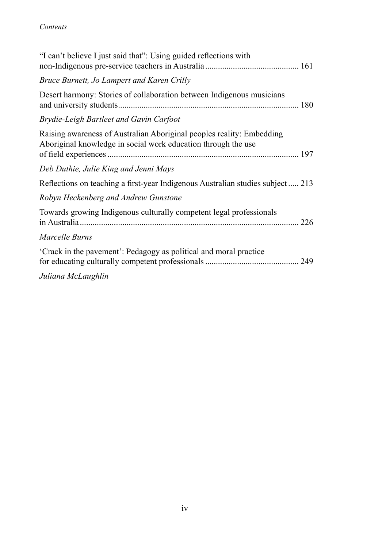# *Contents*

| "I can't believe I just said that": Using guided reflections with                                                                      |
|----------------------------------------------------------------------------------------------------------------------------------------|
| Bruce Burnett, Jo Lampert and Karen Crilly                                                                                             |
| Desert harmony: Stories of collaboration between Indigenous musicians                                                                  |
| Brydie-Leigh Bartleet and Gavin Carfoot                                                                                                |
| Raising awareness of Australian Aboriginal peoples reality: Embedding<br>Aboriginal knowledge in social work education through the use |
| Deb Duthie, Julie King and Jenni Mays                                                                                                  |
| Reflections on teaching a first-year Indigenous Australian studies subject 213                                                         |
| Robyn Heckenberg and Andrew Gunstone                                                                                                   |
| Towards growing Indigenous culturally competent legal professionals                                                                    |
| Marcelle Burns                                                                                                                         |
| 'Crack in the pavement': Pedagogy as political and moral practice                                                                      |
| Juliana McLaughlin                                                                                                                     |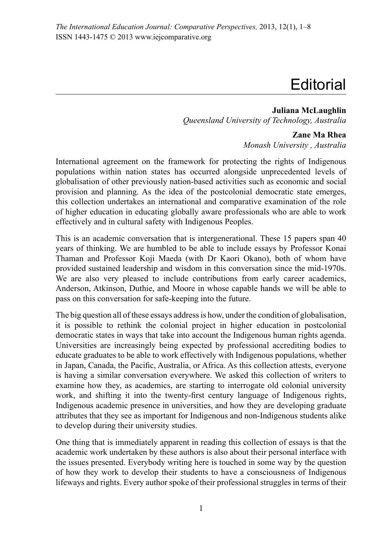# **Editorial**

**Juliana McLaughlin** *Queensland University of Technology, Australia* 

### **Zane Ma Rhea**

*Monash University , Australia*

International agreement on the framework for protecting the rights of Indigenous populations within nation states has occurred alongside unprecedented levels of globalisation of other previously nation-based activities such as economic and social provision and planning. As the idea of the postcolonial democratic state emerges, this collection undertakes an international and comparative examination of the role of higher education in educating globally aware professionals who are able to work effectively and in cultural safety with Indigenous Peoples.

This is an academic conversation that is intergenerational. These 15 papers span 40 years of thinking. We are humbled to be able to include essays by Professor Konai Thaman and Professor Koji Maeda (with Dr Kaori Okano), both of whom have provided sustained leadership and wisdom in this conversation since the mid-1970s. We are also very pleased to include contributions from early career academics, Anderson, Atkinson, Duthie, and Moore in whose capable hands we will be able to pass on this conversation for safe-keeping into the future.

The big question all of these essays addressis how, under the condition of globalisation, it is possible to rethink the colonial project in higher education in postcolonial democratic states in ways that take into account the Indigenous human rights agenda. Universities are increasingly being expected by professional accrediting bodies to educate graduates to be able to work effectively with Indigenous populations, whether in Japan, Canada, the Pacific, Australia, or Africa. As this collection attests, everyone is having a similar conversation everywhere. We asked this collection of writers to examine how they, as academics, are starting to interrogate old colonial university work, and shifting it into the twenty-first century language of Indigenous rights, Indigenous academic presence in universities, and how they are developing graduate attributes that they see as important for Indigenous and non-Indigenous students alike to develop during their university studies.

One thing that is immediately apparent in reading this collection of essays is that the academic work undertaken by these authors is also about their personal interface with the issues presented. Everybody writing here is touched in some way by the question of how they work to develop their students to have a consciousness of Indigenous lifeways and rights. Every author spoke of their professional struggles in terms of their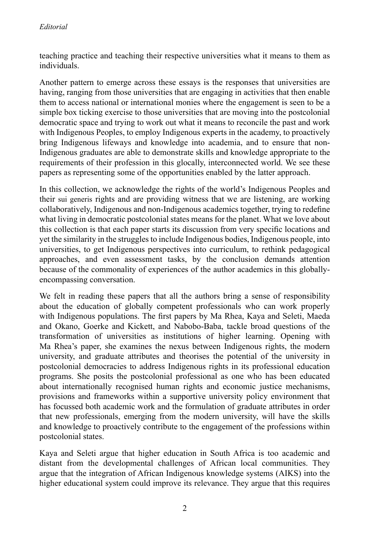teaching practice and teaching their respective universities what it means to them as individuals.

Another pattern to emerge across these essays is the responses that universities are having, ranging from those universities that are engaging in activities that then enable them to access national or international monies where the engagement is seen to be a simple box ticking exercise to those universities that are moving into the postcolonial democratic space and trying to work out what it means to reconcile the past and work with Indigenous Peoples, to employ Indigenous experts in the academy, to proactively bring Indigenous lifeways and knowledge into academia, and to ensure that non-Indigenous graduates are able to demonstrate skills and knowledge appropriate to the requirements of their profession in this glocally, interconnected world. We see these papers as representing some of the opportunities enabled by the latter approach.

In this collection, we acknowledge the rights of the world's Indigenous Peoples and their sui generis rights and are providing witness that we are listening, are working collaboratively, Indigenous and non-Indigenous academics together, trying to redefine what living in democratic postcolonial states means for the planet. What we love about this collection is that each paper starts its discussion from very specific locations and yet the similarity in the struggles to include Indigenous bodies, Indigenous people, into universities, to get Indigenous perspectives into curriculum, to rethink pedagogical approaches, and even assessment tasks, by the conclusion demands attention because of the commonality of experiences of the author academics in this globallyencompassing conversation.

We felt in reading these papers that all the authors bring a sense of responsibility about the education of globally competent professionals who can work properly with Indigenous populations. The first papers by Ma Rhea, Kaya and Seleti, Maeda and Okano, Goerke and Kickett, and Nabobo-Baba, tackle broad questions of the transformation of universities as institutions of higher learning. Opening with Ma Rhea's paper, she examines the nexus between Indigenous rights, the modern university, and graduate attributes and theorises the potential of the university in postcolonial democracies to address Indigenous rights in its professional education programs. She posits the postcolonial professional as one who has been educated about internationally recognised human rights and economic justice mechanisms, provisions and frameworks within a supportive university policy environment that has focussed both academic work and the formulation of graduate attributes in order that new professionals, emerging from the modern university, will have the skills and knowledge to proactively contribute to the engagement of the professions within postcolonial states.

Kaya and Seleti argue that higher education in South Africa is too academic and distant from the developmental challenges of African local communities. They argue that the integration of African Indigenous knowledge systems (AIKS) into the higher educational system could improve its relevance. They argue that this requires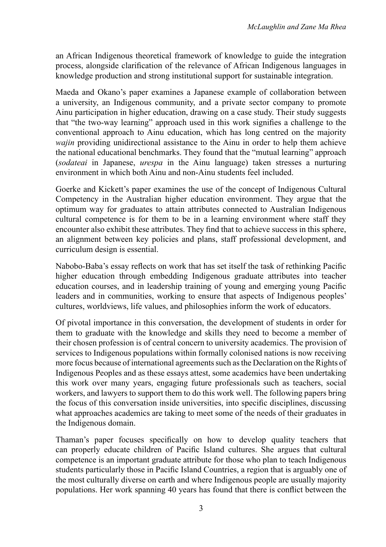an African Indigenous theoretical framework of knowledge to guide the integration process, alongside clarification of the relevance of African Indigenous languages in knowledge production and strong institutional support for sustainable integration.

Maeda and Okano's paper examines a Japanese example of collaboration between a university, an Indigenous community, and a private sector company to promote Ainu participation in higher education, drawing on a case study. Their study suggests that "the two-way learning" approach used in this work signifies a challenge to the conventional approach to Ainu education, which has long centred on the majority *wajin* providing unidirectional assistance to the Ainu in order to help them achieve the national educational benchmarks. They found that the "mutual learning" approach (*sodateai* in Japanese, *urespa* in the Ainu language) taken stresses a nurturing environment in which both Ainu and non-Ainu students feel included.

Goerke and Kickett's paper examines the use of the concept of Indigenous Cultural Competency in the Australian higher education environment. They argue that the optimum way for graduates to attain attributes connected to Australian Indigenous cultural competence is for them to be in a learning environment where staff they encounter also exhibit these attributes. They find that to achieve success in this sphere, an alignment between key policies and plans, staff professional development, and curriculum design is essential.

Nabobo-Baba's essay reflects on work that has set itself the task of rethinking Pacific higher education through embedding Indigenous graduate attributes into teacher education courses, and in leadership training of young and emerging young Pacific leaders and in communities, working to ensure that aspects of Indigenous peoples' cultures, worldviews, life values, and philosophies inform the work of educators.

Of pivotal importance in this conversation, the development of students in order for them to graduate with the knowledge and skills they need to become a member of their chosen profession is of central concern to university academics. The provision of services to Indigenous populations within formally colonised nations is now receiving more focus because of international agreements such as the Declaration on the Rights of Indigenous Peoples and as these essays attest, some academics have been undertaking this work over many years, engaging future professionals such as teachers, social workers, and lawyers to support them to do this work well. The following papers bring the focus of this conversation inside universities, into specific disciplines, discussing what approaches academics are taking to meet some of the needs of their graduates in the Indigenous domain.

Thaman's paper focuses specifically on how to develop quality teachers that can properly educate children of Pacific Island cultures. She argues that cultural competence is an important graduate attribute for those who plan to teach Indigenous students particularly those in Pacific Island Countries, a region that is arguably one of the most culturally diverse on earth and where Indigenous people are usually majority populations. Her work spanning 40 years has found that there is conflict between the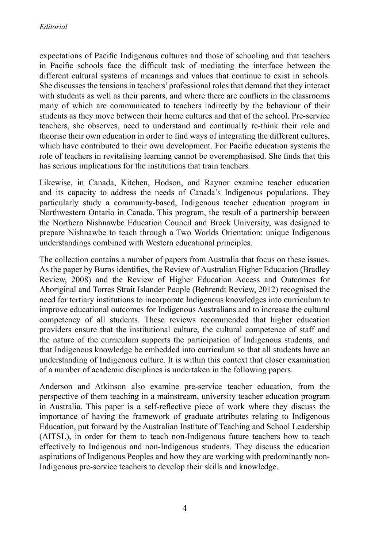expectations of Pacific Indigenous cultures and those of schooling and that teachers in Pacific schools face the difficult task of mediating the interface between the different cultural systems of meanings and values that continue to exist in schools. She discusses the tensions in teachers' professional roles that demand that they interact with students as well as their parents, and where there are conflicts in the classrooms many of which are communicated to teachers indirectly by the behaviour of their students as they move between their home cultures and that of the school. Pre-service teachers, she observes, need to understand and continually re-think their role and theorise their own education in order to find ways of integrating the different cultures, which have contributed to their own development. For Pacific education systems the role of teachers in revitalising learning cannot be overemphasised. She finds that this has serious implications for the institutions that train teachers.

Likewise, in Canada, Kitchen, Hodson, and Raynor examine teacher education and its capacity to address the needs of Canada's Indigenous populations. They particularly study a community-based, Indigenous teacher education program in Northwestern Ontario in Canada. This program, the result of a partnership between the Northern Nishnawbe Education Council and Brock University, was designed to prepare Nishnawbe to teach through a Two Worlds Orientation: unique Indigenous understandings combined with Western educational principles.

The collection contains a number of papers from Australia that focus on these issues. As the paper by Burns identifies, the Review of Australian Higher Education (Bradley Review, 2008) and the Review of Higher Education Access and Outcomes for Aboriginal and Torres Strait Islander People (Behrendt Review, 2012) recognised the need for tertiary institutions to incorporate Indigenous knowledges into curriculum to improve educational outcomes for Indigenous Australians and to increase the cultural competency of all students. These reviews recommended that higher education providers ensure that the institutional culture, the cultural competence of staff and the nature of the curriculum supports the participation of Indigenous students, and that Indigenous knowledge be embedded into curriculum so that all students have an understanding of Indigenous culture. It is within this context that closer examination of a number of academic disciplines is undertaken in the following papers.

Anderson and Atkinson also examine pre-service teacher education, from the perspective of them teaching in a mainstream, university teacher education program in Australia. This paper is a self-reflective piece of work where they discuss the importance of having the framework of graduate attributes relating to Indigenous Education, put forward by the Australian Institute of Teaching and School Leadership (AITSL), in order for them to teach non-Indigenous future teachers how to teach effectively to Indigenous and non-Indigenous students. They discuss the education aspirations of Indigenous Peoples and how they are working with predominantly non-Indigenous pre-service teachers to develop their skills and knowledge.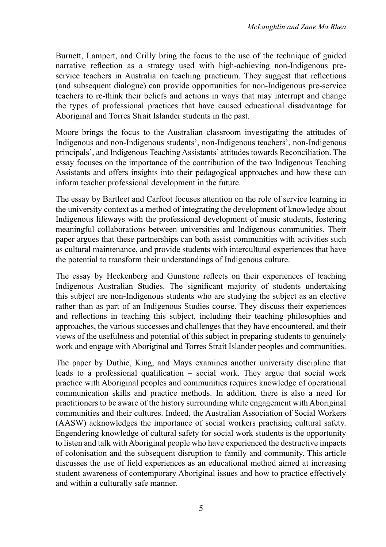Burnett, Lampert, and Crilly bring the focus to the use of the technique of guided narrative reflection as a strategy used with high-achieving non-Indigenous preservice teachers in Australia on teaching practicum. They suggest that reflections (and subsequent dialogue) can provide opportunities for non-Indigenous pre-service teachers to re-think their beliefs and actions in ways that may interrupt and change the types of professional practices that have caused educational disadvantage for Aboriginal and Torres Strait Islander students in the past.

Moore brings the focus to the Australian classroom investigating the attitudes of Indigenous and non-Indigenous students', non-Indigenous teachers', non-Indigenous principals', and Indigenous Teaching Assistants' attitudes towards Reconciliation. The essay focuses on the importance of the contribution of the two Indigenous Teaching Assistants and offers insights into their pedagogical approaches and how these can inform teacher professional development in the future.

The essay by Bartleet and Carfoot focuses attention on the role of service learning in the university context as a method of integrating the development of knowledge about Indigenous lifeways with the professional development of music students, fostering meaningful collaborations between universities and Indigenous communities. Their paper argues that these partnerships can both assist communities with activities such as cultural maintenance, and provide students with intercultural experiences that have the potential to transform their understandings of Indigenous culture.

The essay by Heckenberg and Gunstone reflects on their experiences of teaching Indigenous Australian Studies. The significant majority of students undertaking this subject are non-Indigenous students who are studying the subject as an elective rather than as part of an Indigenous Studies course. They discuss their experiences and reflections in teaching this subject, including their teaching philosophies and approaches, the various successes and challenges that they have encountered, and their views of the usefulness and potential of this subject in preparing students to genuinely work and engage with Aboriginal and Torres Strait Islander peoples and communities.

The paper by Duthie, King, and Mays examines another university discipline that leads to a professional qualification – social work. They argue that social work practice with Aboriginal peoples and communities requires knowledge of operational communication skills and practice methods. In addition, there is also a need for practitioners to be aware of the history surrounding white engagement with Aboriginal communities and their cultures. Indeed, the Australian Association of Social Workers (AASW) acknowledges the importance of social workers practising cultural safety. Engendering knowledge of cultural safety for social work students is the opportunity to listen and talk with Aboriginal people who have experienced the destructive impacts of colonisation and the subsequent disruption to family and community. This article discusses the use of field experiences as an educational method aimed at increasing student awareness of contemporary Aboriginal issues and how to practice effectively and within a culturally safe manner.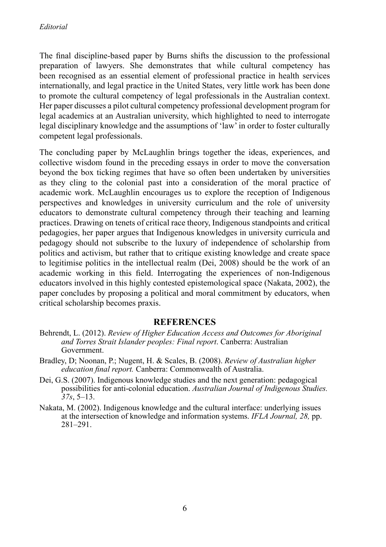The final discipline-based paper by Burns shifts the discussion to the professional preparation of lawyers. She demonstrates that while cultural competency has been recognised as an essential element of professional practice in health services internationally, and legal practice in the United States, very little work has been done to promote the cultural competency of legal professionals in the Australian context. Her paper discusses a pilot cultural competency professional development program for legal academics at an Australian university, which highlighted to need to interrogate legal disciplinary knowledge and the assumptions of 'law'in order to foster culturally competent legal professionals.

The concluding paper by McLaughlin brings together the ideas, experiences, and collective wisdom found in the preceding essays in order to move the conversation beyond the box ticking regimes that have so often been undertaken by universities as they cling to the colonial past into a consideration of the moral practice of academic work. McLaughlin encourages us to explore the reception of Indigenous perspectives and knowledges in university curriculum and the role of university educators to demonstrate cultural competency through their teaching and learning practices. Drawing on tenets of critical race theory, Indigenous standpoints and critical pedagogies, her paper argues that Indigenous knowledges in university curricula and pedagogy should not subscribe to the luxury of independence of scholarship from politics and activism, but rather that to critique existing knowledge and create space to legitimise politics in the intellectual realm (Dei, 2008) should be the work of an academic working in this field. Interrogating the experiences of non-Indigenous educators involved in this highly contested epistemological space (Nakata, 2002), the paper concludes by proposing a political and moral commitment by educators, when critical scholarship becomes praxis.

## **References**

- Behrendt, L. (2012). *Review of Higher Education Access and Outcomes for Aboriginal and Torres Strait Islander peoples: Final report*. Canberra: Australian Government.
- Bradley, D; Noonan, P.; Nugent, H. & Scales, B. (2008). *Review of Australian higher education final report.* Canberra: Commonwealth of Australia.
- Dei, G.S. (2007). Indigenous knowledge studies and the next generation: pedagogical possibilities for anti-colonial education. *Australian Journal of Indigenous Studies. 37s*, 5–13.
- Nakata, M. (2002). Indigenous knowledge and the cultural interface: underlying issues at the intersection of knowledge and information systems. *IFLA Journal, 28,* pp. 281–291.